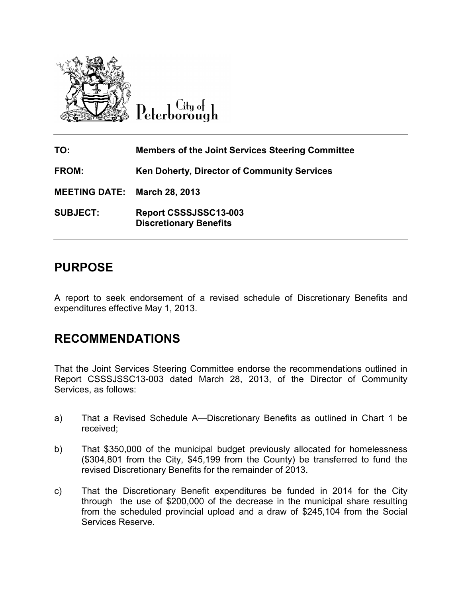

City of Peterborough

| TO:                  | <b>Members of the Joint Services Steering Committee</b> |
|----------------------|---------------------------------------------------------|
| FROM:                | Ken Doherty, Director of Community Services             |
| <b>MEETING DATE:</b> | March 28, 2013                                          |
| <b>SUBJECT:</b>      | Report CSSSJSSC13-003<br><b>Discretionary Benefits</b>  |

# **PURPOSE**

A report to seek endorsement of a revised schedule of Discretionary Benefits and expenditures effective May 1, 2013.

# **RECOMMENDATIONS**

That the Joint Services Steering Committee endorse the recommendations outlined in Report CSSSJSSC13-003 dated March 28, 2013, of the Director of Community Services, as follows:

- a) That a Revised Schedule A—Discretionary Benefits as outlined in Chart 1 be received;
- b) That \$350,000 of the municipal budget previously allocated for homelessness (\$304,801 from the City, \$45,199 from the County) be transferred to fund the revised Discretionary Benefits for the remainder of 2013.
- c) That the Discretionary Benefit expenditures be funded in 2014 for the City through the use of \$200,000 of the decrease in the municipal share resulting from the scheduled provincial upload and a draw of \$245,104 from the Social Services Reserve.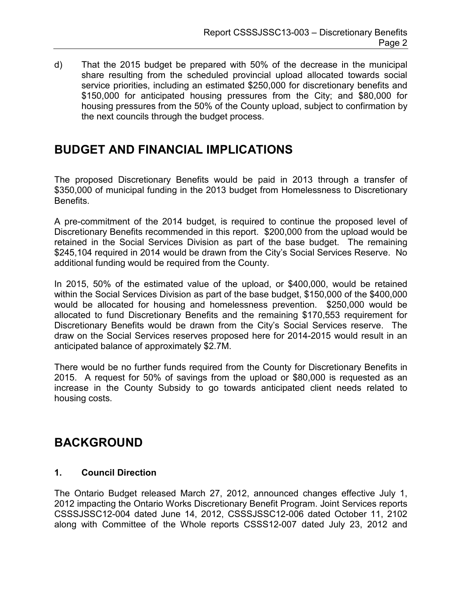d) That the 2015 budget be prepared with 50% of the decrease in the municipal share resulting from the scheduled provincial upload allocated towards social service priorities, including an estimated \$250,000 for discretionary benefits and \$150,000 for anticipated housing pressures from the City; and \$80,000 for housing pressures from the 50% of the County upload, subject to confirmation by the next councils through the budget process.

# **BUDGET AND FINANCIAL IMPLICATIONS**

The proposed Discretionary Benefits would be paid in 2013 through a transfer of \$350,000 of municipal funding in the 2013 budget from Homelessness to Discretionary **Benefits** 

A pre-commitment of the 2014 budget, is required to continue the proposed level of Discretionary Benefits recommended in this report. \$200,000 from the upload would be retained in the Social Services Division as part of the base budget. The remaining \$245,104 required in 2014 would be drawn from the City's Social Services Reserve. No additional funding would be required from the County.

In 2015, 50% of the estimated value of the upload, or \$400,000, would be retained within the Social Services Division as part of the base budget, \$150,000 of the \$400,000 would be allocated for housing and homelessness prevention. \$250,000 would be allocated to fund Discretionary Benefits and the remaining \$170,553 requirement for Discretionary Benefits would be drawn from the City's Social Services reserve. The draw on the Social Services reserves proposed here for 2014-2015 would result in an anticipated balance of approximately \$2.7M.

There would be no further funds required from the County for Discretionary Benefits in 2015. A request for 50% of savings from the upload or \$80,000 is requested as an increase in the County Subsidy to go towards anticipated client needs related to housing costs.

# **BACKGROUND**

#### **1. Council Direction**

The Ontario Budget released March 27, 2012, announced changes effective July 1, 2012 impacting the Ontario Works Discretionary Benefit Program. Joint Services reports CSSSJSSC12-004 dated June 14, 2012, CSSSJSSC12-006 dated October 11, 2102 along with Committee of the Whole reports CSSS12-007 dated July 23, 2012 and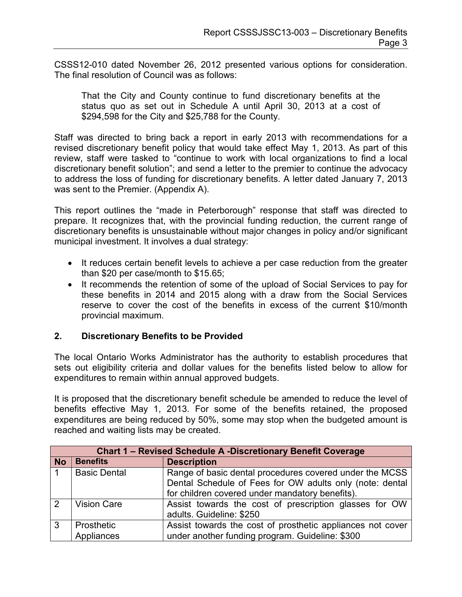CSSS12-010 dated November 26, 2012 presented various options for consideration. The final resolution of Council was as follows:

That the City and County continue to fund discretionary benefits at the status quo as set out in Schedule A until April 30, 2013 at a cost of \$294,598 for the City and \$25,788 for the County.

Staff was directed to bring back a report in early 2013 with recommendations for a revised discretionary benefit policy that would take effect May 1, 2013. As part of this review, staff were tasked to "continue to work with local organizations to find a local discretionary benefit solution"; and send a letter to the premier to continue the advocacy to address the loss of funding for discretionary benefits. A letter dated January 7, 2013 was sent to the Premier. (Appendix A).

This report outlines the "made in Peterborough" response that staff was directed to prepare. It recognizes that, with the provincial funding reduction, the current range of discretionary benefits is unsustainable without major changes in policy and/or significant municipal investment. It involves a dual strategy:

- It reduces certain benefit levels to achieve a per case reduction from the greater than \$20 per case/month to \$15.65;
- It recommends the retention of some of the upload of Social Services to pay for these benefits in 2014 and 2015 along with a draw from the Social Services reserve to cover the cost of the benefits in excess of the current \$10/month provincial maximum.

#### **2. Discretionary Benefits to be Provided**

The local Ontario Works Administrator has the authority to establish procedures that sets out eligibility criteria and dollar values for the benefits listed below to allow for expenditures to remain within annual approved budgets.

It is proposed that the discretionary benefit schedule be amended to reduce the level of benefits effective May 1, 2013. For some of the benefits retained, the proposed expenditures are being reduced by 50%, some may stop when the budgeted amount is reached and waiting lists may be created.

| <b>Chart 1 - Revised Schedule A -Discretionary Benefit Coverage</b> |                     |                                                            |  |  |  |
|---------------------------------------------------------------------|---------------------|------------------------------------------------------------|--|--|--|
| <b>No</b>                                                           | <b>Benefits</b>     | <b>Description</b>                                         |  |  |  |
|                                                                     | <b>Basic Dental</b> | Range of basic dental procedures covered under the MCSS    |  |  |  |
|                                                                     |                     | Dental Schedule of Fees for OW adults only (note: dental   |  |  |  |
|                                                                     |                     | for children covered under mandatory benefits).            |  |  |  |
| 2                                                                   | <b>Vision Care</b>  | Assist towards the cost of prescription glasses for OW     |  |  |  |
|                                                                     |                     | adults. Guideline: \$250                                   |  |  |  |
| 3                                                                   | Prosthetic          | Assist towards the cost of prosthetic appliances not cover |  |  |  |
|                                                                     | Appliances          | under another funding program. Guideline: \$300            |  |  |  |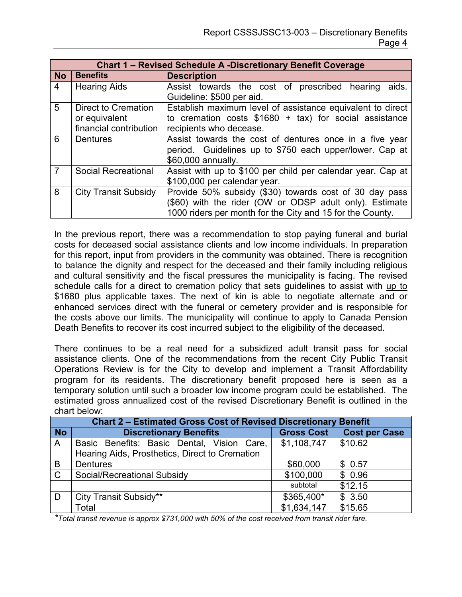|                | <b>Chart 1 - Revised Schedule A -Discretionary Benefit Coverage</b> |                                                             |  |  |  |  |
|----------------|---------------------------------------------------------------------|-------------------------------------------------------------|--|--|--|--|
| <b>No</b>      | <b>Benefits</b>                                                     | <b>Description</b>                                          |  |  |  |  |
| $\overline{4}$ | <b>Hearing Aids</b>                                                 | Assist towards the cost of prescribed hearing aids.         |  |  |  |  |
|                |                                                                     | Guideline: \$500 per aid.                                   |  |  |  |  |
| 5              | Direct to Cremation                                                 | Establish maximum level of assistance equivalent to direct  |  |  |  |  |
|                | or equivalent                                                       | to cremation costs $$1680 + tax$ for social assistance      |  |  |  |  |
|                | financial contribution                                              | recipients who decease.                                     |  |  |  |  |
| 6              | <b>Dentures</b>                                                     | Assist towards the cost of dentures once in a five year     |  |  |  |  |
|                |                                                                     | period. Guidelines up to \$750 each upper/lower. Cap at     |  |  |  |  |
|                |                                                                     | \$60,000 annually.                                          |  |  |  |  |
| $\overline{7}$ | <b>Social Recreational</b>                                          | Assist with up to \$100 per child per calendar year. Cap at |  |  |  |  |
|                |                                                                     | \$100,000 per calendar year.                                |  |  |  |  |
| 8              | <b>City Transit Subsidy</b>                                         | Provide 50% subsidy (\$30) towards cost of 30 day pass      |  |  |  |  |
|                |                                                                     | (\$60) with the rider (OW or ODSP adult only). Estimate     |  |  |  |  |
|                |                                                                     | 1000 riders per month for the City and 15 for the County.   |  |  |  |  |

In the previous report, there was a recommendation to stop paying funeral and burial costs for deceased social assistance clients and low income individuals. In preparation for this report, input from providers in the community was obtained. There is recognition to balance the dignity and respect for the deceased and their family including religious and cultural sensitivity and the fiscal pressures the municipality is facing. The revised schedule calls for a direct to cremation policy that sets guidelines to assist with up to \$1680 plus applicable taxes. The next of kin is able to negotiate alternate and or enhanced services direct with the funeral or cemetery provider and is responsible for the costs above our limits. The municipality will continue to apply to Canada Pension Death Benefits to recover its cost incurred subject to the eligibility of the deceased.

There continues to be a real need for a subsidized adult transit pass for social assistance clients. One of the recommendations from the recent City Public Transit Operations Review is for the City to develop and implement a Transit Affordability program for its residents. The discretionary benefit proposed here is seen as a temporary solution until such a broader low income program could be established. The estimated gross annualized cost of the revised Discretionary Benefit is outlined in the chart below:

| <b>Chart 2 - Estimated Gross Cost of Revised Discretionary Benefit</b> |                                                |                   |                      |  |
|------------------------------------------------------------------------|------------------------------------------------|-------------------|----------------------|--|
| <b>No</b>                                                              | <b>Discretionary Benefits</b>                  | <b>Gross Cost</b> | <b>Cost per Case</b> |  |
| $\overline{A}$                                                         | Basic Benefits: Basic Dental, Vision Care,     | \$1,108,747       | \$10.62              |  |
|                                                                        | Hearing Aids, Prosthetics, Direct to Cremation |                   |                      |  |
| ιB.                                                                    | Dentures                                       | \$60,000          | \$0.57               |  |
| $\overline{C}$                                                         | Social/Recreational Subsidy                    | \$100,000         | \$0.96               |  |
|                                                                        |                                                | subtotal          | \$12.15              |  |
| ID.                                                                    | City Transit Subsidy**                         | \$365,400*        | \$3.50               |  |
|                                                                        | Total                                          | \$1,634,147       | \$15.65              |  |

*\*Total transit revenue is approx \$731,000 with 50% of the cost received from transit rider fare.*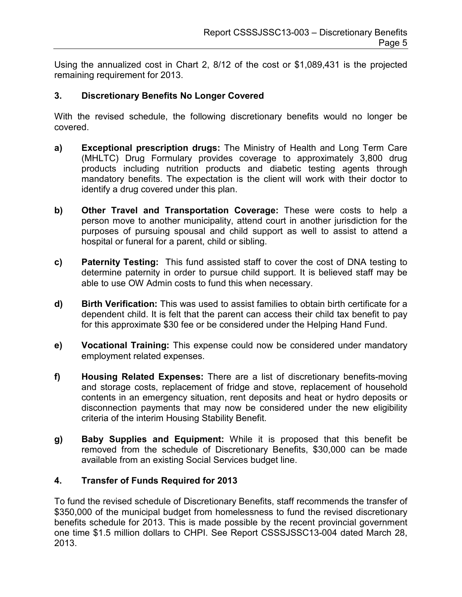Using the annualized cost in Chart 2, 8/12 of the cost or \$1,089,431 is the projected remaining requirement for 2013.

#### **3. Discretionary Benefits No Longer Covered**

With the revised schedule, the following discretionary benefits would no longer be covered.

- **a) Exceptional prescription drugs:** The Ministry of Health and Long Term Care (MHLTC) Drug Formulary provides coverage to approximately 3,800 drug products including nutrition products and diabetic testing agents through mandatory benefits. The expectation is the client will work with their doctor to identify a drug covered under this plan.
- **b) Other Travel and Transportation Coverage:** These were costs to help a person move to another municipality, attend court in another jurisdiction for the purposes of pursuing spousal and child support as well to assist to attend a hospital or funeral for a parent, child or sibling.
- **c) Paternity Testing:** This fund assisted staff to cover the cost of DNA testing to determine paternity in order to pursue child support. It is believed staff may be able to use OW Admin costs to fund this when necessary.
- **d) Birth Verification:** This was used to assist families to obtain birth certificate for a dependent child. It is felt that the parent can access their child tax benefit to pay for this approximate \$30 fee or be considered under the Helping Hand Fund.
- **e) Vocational Training:** This expense could now be considered under mandatory employment related expenses.
- **f) Housing Related Expenses:** There are a list of discretionary benefits-moving and storage costs, replacement of fridge and stove, replacement of household contents in an emergency situation, rent deposits and heat or hydro deposits or disconnection payments that may now be considered under the new eligibility criteria of the interim Housing Stability Benefit.
- **g) Baby Supplies and Equipment:** While it is proposed that this benefit be removed from the schedule of Discretionary Benefits, \$30,000 can be made available from an existing Social Services budget line.

#### **4. Transfer of Funds Required for 2013**

To fund the revised schedule of Discretionary Benefits, staff recommends the transfer of \$350,000 of the municipal budget from homelessness to fund the revised discretionary benefits schedule for 2013. This is made possible by the recent provincial government one time \$1.5 million dollars to CHPI. See Report CSSSJSSC13-004 dated March 28, 2013.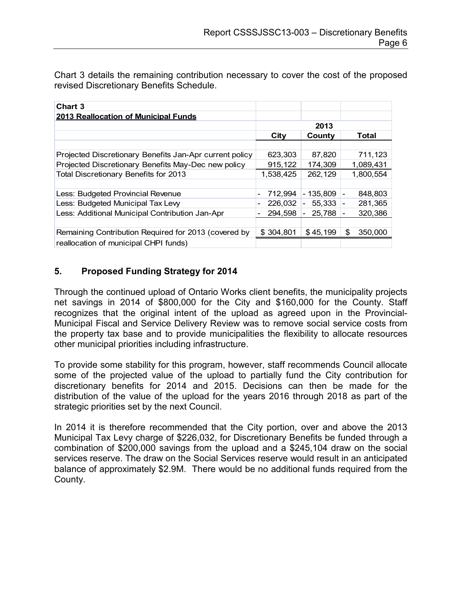Chart 3 details the remaining contribution necessary to cover the cost of the proposed revised Discretionary Benefits Schedule.

| <b>Chart 3</b>                                          |                         |                                    |                                     |
|---------------------------------------------------------|-------------------------|------------------------------------|-------------------------------------|
| 2013 Reallocation of Municipal Funds                    |                         |                                    |                                     |
|                                                         | 2013                    |                                    |                                     |
|                                                         | City<br>County<br>Total |                                    |                                     |
|                                                         |                         |                                    |                                     |
| Projected Discretionary Benefits Jan-Apr current policy | 623,303                 | 87,820                             | 711,123                             |
| Projected Discretionary Benefits May-Dec new policy     | 915,122                 | 174,309                            | 1,089,431                           |
| Total Discretionary Benefits for 2013                   | 1,538,425               | 262,129                            | 1,800,554                           |
|                                                         |                         |                                    |                                     |
| Less: Budgeted Provincial Revenue                       | 712,994                 | - 135.809                          | 848.803<br>$\blacksquare$           |
| Less: Budgeted Municipal Tax Levy                       | 226,032                 | 55,333<br>$\overline{\phantom{a}}$ | 281,365<br>$\overline{\phantom{a}}$ |
| Less: Additional Municipal Contribution Jan-Apr         | 294,598                 | 25,788                             | 320,386                             |
|                                                         |                         |                                    |                                     |
| Remaining Contribution Required for 2013 (covered by    | \$304,801               | \$45,199                           | \$<br>350,000                       |
| reallocation of municipal CHPI funds)                   |                         |                                    |                                     |

#### **5. Proposed Funding Strategy for 2014**

Through the continued upload of Ontario Works client benefits, the municipality projects net savings in 2014 of \$800,000 for the City and \$160,000 for the County. Staff recognizes that the original intent of the upload as agreed upon in the Provincial-Municipal Fiscal and Service Delivery Review was to remove social service costs from the property tax base and to provide municipalities the flexibility to allocate resources other municipal priorities including infrastructure.

To provide some stability for this program, however, staff recommends Council allocate some of the projected value of the upload to partially fund the City contribution for discretionary benefits for 2014 and 2015. Decisions can then be made for the distribution of the value of the upload for the years 2016 through 2018 as part of the strategic priorities set by the next Council.

In 2014 it is therefore recommended that the City portion, over and above the 2013 Municipal Tax Levy charge of \$226,032, for Discretionary Benefits be funded through a combination of \$200,000 savings from the upload and a \$245,104 draw on the social services reserve. The draw on the Social Services reserve would result in an anticipated balance of approximately \$2.9M. There would be no additional funds required from the County.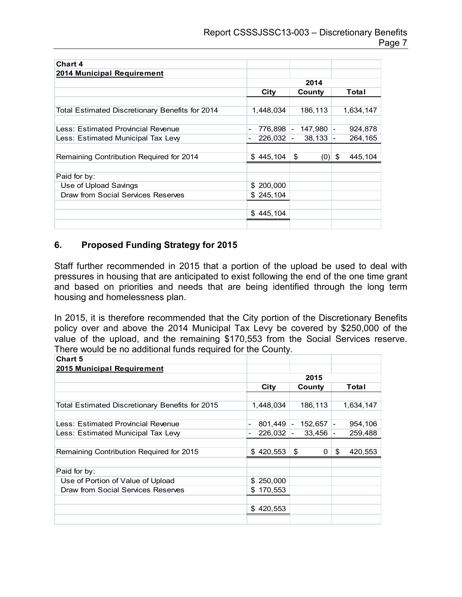| <b>Chart 4</b>                                  |                |                |                                     |
|-------------------------------------------------|----------------|----------------|-------------------------------------|
| 2014 Municipal Requirement                      |                |                |                                     |
|                                                 | 2014           |                |                                     |
|                                                 | City<br>County |                | Total                               |
|                                                 |                |                |                                     |
| Total Estimated Discretionary Benefits for 2014 | 1,448,034      | 186,113        | 1,634,147                           |
|                                                 |                |                |                                     |
| Less: Estimated Provincial Revenue              | 776,898 -<br>۰ | 147,980 -      | 924,878                             |
| Less: Estimated Municipal Tax Lew               | 226,032        | 38,133         | 264,165<br>$\overline{\phantom{a}}$ |
|                                                 |                |                |                                     |
| Remaining Contribution Required for 2014        | \$445,104      | \$<br>$(0)$ \$ | 445,104                             |
|                                                 |                |                |                                     |
| Paid for by:                                    |                |                |                                     |
| Use of Upload Savings                           | \$200,000      |                |                                     |
| Draw from Social Services Reserves              | \$245,104      |                |                                     |
|                                                 |                |                |                                     |
|                                                 | \$445,104      |                |                                     |
|                                                 |                |                |                                     |

#### **6. Proposed Funding Strategy for 2015**

Staff further recommended in 2015 that a portion of the upload be used to deal with pressures in housing that are anticipated to exist following the end of the one time grant and based on priorities and needs that are being identified through the long term housing and homelessness plan.

In 2015, it is therefore recommended that the City portion of the Discretionary Benefits policy over and above the 2014 Municipal Tax Levy be covered by \$250,000 of the value of the upload, and the remaining \$170,553 from the Social Services reserve. There would be no additional funds required for the County.

| <b>Chart 5</b>                                  |                |                                     |                                     |
|-------------------------------------------------|----------------|-------------------------------------|-------------------------------------|
| 2015 Municipal Requirement                      |                |                                     |                                     |
|                                                 | 2015           |                                     |                                     |
|                                                 | City           | County                              | Total                               |
|                                                 |                |                                     |                                     |
| Total Estimated Discretionary Benefits for 2015 | 1,448,034      | 186,113                             | 1,634,147                           |
|                                                 |                |                                     |                                     |
| Less: Estimated Provincial Revenue              | 801,449        | 152,657<br>$\overline{\phantom{a}}$ | 954,106<br>$\overline{\phantom{0}}$ |
| Less: Estimated Municipal Tax Lew               | 226,032        | 33,456                              | 259,488<br>$\overline{\phantom{a}}$ |
|                                                 |                |                                     |                                     |
| Remaining Contribution Required for 2015        | \$420,553      | \$<br>0                             | \$<br>420,553                       |
|                                                 |                |                                     |                                     |
| Paid for by:                                    |                |                                     |                                     |
| Use of Portion of Value of Upload               | 250,000<br>SS. |                                     |                                     |
| Draw from Social Services Reserves              | 170,553<br>\$  |                                     |                                     |
|                                                 |                |                                     |                                     |
|                                                 | \$420,553      |                                     |                                     |
|                                                 |                |                                     |                                     |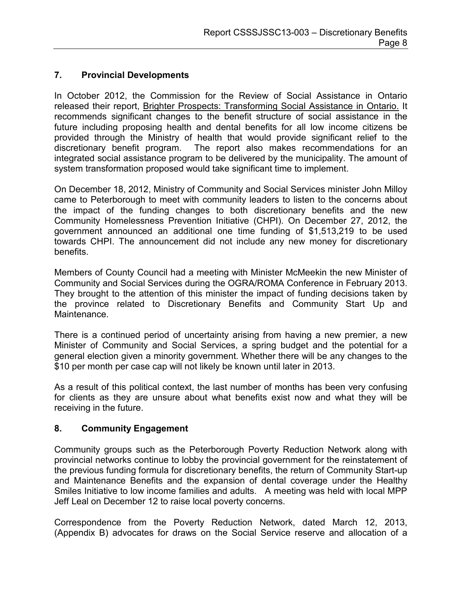#### **7. Provincial Developments**

In October 2012, the Commission for the Review of Social Assistance in Ontario released their report, Brighter Prospects: Transforming Social Assistance in Ontario. It recommends significant changes to the benefit structure of social assistance in the future including proposing health and dental benefits for all low income citizens be provided through the Ministry of health that would provide significant relief to the discretionary benefit program. The report also makes recommendations for an integrated social assistance program to be delivered by the municipality. The amount of system transformation proposed would take significant time to implement.

On December 18, 2012, Ministry of Community and Social Services minister John Milloy came to Peterborough to meet with community leaders to listen to the concerns about the impact of the funding changes to both discretionary benefits and the new Community Homelessness Prevention Initiative (CHPI). On December 27, 2012, the government announced an additional one time funding of \$1,513,219 to be used towards CHPI. The announcement did not include any new money for discretionary benefits.

Members of County Council had a meeting with Minister McMeekin the new Minister of Community and Social Services during the OGRA/ROMA Conference in February 2013. They brought to the attention of this minister the impact of funding decisions taken by the province related to Discretionary Benefits and Community Start Up and Maintenance.

There is a continued period of uncertainty arising from having a new premier, a new Minister of Community and Social Services, a spring budget and the potential for a general election given a minority government. Whether there will be any changes to the \$10 per month per case cap will not likely be known until later in 2013.

As a result of this political context, the last number of months has been very confusing for clients as they are unsure about what benefits exist now and what they will be receiving in the future.

### **8. Community Engagement**

Community groups such as the Peterborough Poverty Reduction Network along with provincial networks continue to lobby the provincial government for the reinstatement of the previous funding formula for discretionary benefits, the return of Community Start-up and Maintenance Benefits and the expansion of dental coverage under the Healthy Smiles Initiative to low income families and adults. A meeting was held with local MPP Jeff Leal on December 12 to raise local poverty concerns.

Correspondence from the Poverty Reduction Network, dated March 12, 2013, (Appendix B) advocates for draws on the Social Service reserve and allocation of a